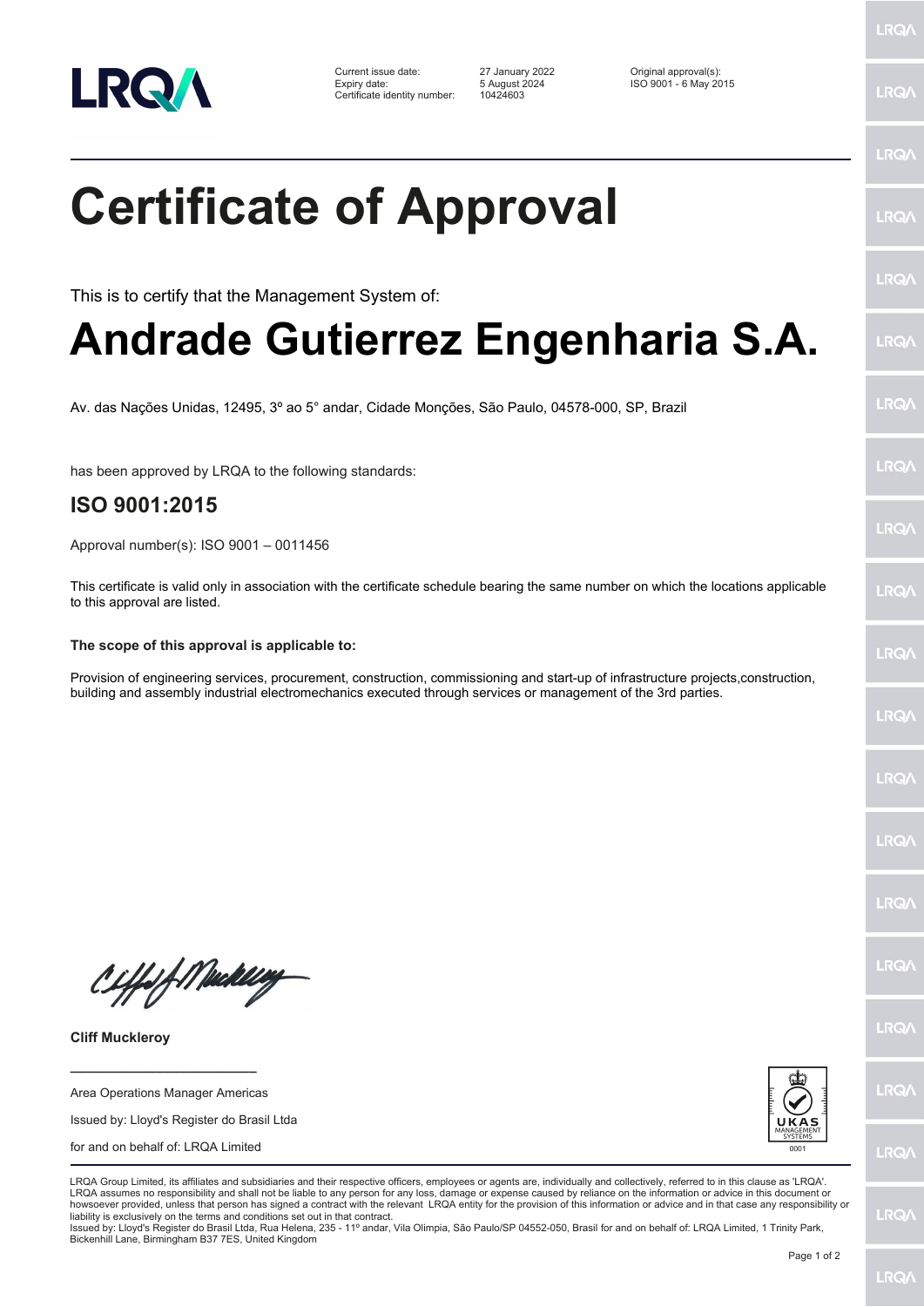

Current issue date: 27 January 2022 Original approval(s): Expiry date: 5 August 2024 ISO 9001 - 6 May 2015 Certificate identity number: 10424603

LRQ/

## LRQ/ **Certificate of Approval** LRQ/ LRQ/ This is to certify that the Management System of: **Andrade Gutierrez Engenharia S.A.** LRQ/ LRQ/ Av. das Nações Unidas, 12495, 3º ao 5° andar, Cidade Monções, São Paulo, 04578-000, SP, Brazil LRQ/ has been approved by LRQA to the following standards: **ISO 9001:2015 LRQA** Approval number(s): ISO 9001 – 0011456 This certificate is valid only in association with the certificate schedule bearing the same number on which the locations applicable **LRO** to this approval are listed. **The scope of this approval is applicable to:** LRQ/ Provision of engineering services, procurement, construction, commissioning and start-up of infrastructure projects,construction, building and assembly industrial electromechanics executed through services or management of the 3rd parties.LRQ/ LRQ/ LRQ/ **IRQ/** Ciffeft Medal **IRQA** LRQ/ **Cliff Muckleroy \_\_\_\_\_\_\_\_\_\_\_\_\_\_\_\_\_\_\_\_\_\_\_\_** LRQ/ Area Operations Manager Americas Issued by: Lloyd's Register do Brasil Ltda for and on behalf of: LRQA Limited **LRQ/** LRQA Group Limited, its affiliates and subsidiaries and their respective officers, employees or agents are, individually and collectively, referred to in this clause as 'LRQA' LRQA assumes no responsibility and shall not be liable to any person for any loss, damage or expense caused by reliance on the information or advice in this document or howsoever provided, unless that person has signed a contract with the relevant LRQA entity for the provision of this information or advice and in that case any responsibility or LRQ/ liability is exclusively on the terms and conditions set out in that contract. Issued by: Lloyd's Register do Brasil Ltda, Rua Helena, 235 - 11º andar, Vila Olimpia, São Paulo/SP 04552-050, Brasil for and on behalf of: LRQA Limited, 1 Trinity Park, Bickenhill Lane, Birmingham B37 7ES, United Kingdom